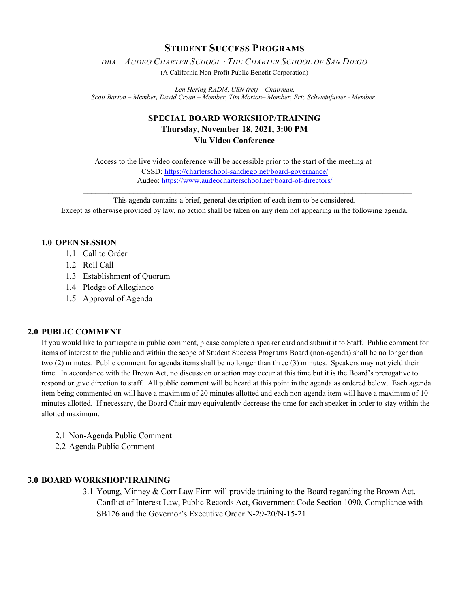### **STUDENT SUCCESS PROGRAMS**

*DBA – AUDEO CHARTER SCHOOL ∙ THE CHARTER SCHOOL OF SAN DIEGO* 

(A California Non-Profit Public Benefit Corporation)

*Len Hering RADM, USN (ret) – Chairman, Scott Barton – Member, David Crean – Member, Tim Morton– Member, Eric Schweinfurter - Member*

# **SPECIAL BOARD WORKSHOP/TRAINING Thursday, November 18, 2021, 3:00 PM Via Video Conference**

Access to the live video conference will be accessible prior to the start of the meeting at CSSD[: https://charterschool-sandiego.net/board-governance/](https://charterschool-sandiego.net/board-governance/) Audeo[: https://www.audeocharterschool.net/board-of-directors/](https://www.audeocharterschool.net/board-of-directors/)

This agenda contains a brief, general description of each item to be considered. Except as otherwise provided by law, no action shall be taken on any item not appearing in the following agenda.

 $\mathcal{L}_\text{max}$  , and the contribution of the contribution of the contribution of the contribution of the contribution of

### **1.0 OPEN SESSION**

- 1.1 Call to Order
- 1.2 Roll Call
- 1.3 Establishment of Quorum
- 1.4 Pledge of Allegiance
- 1.5 Approval of Agenda

### **2.0 PUBLIC COMMENT**

If you would like to participate in public comment, please complete a speaker card and submit it to Staff. Public comment for items of interest to the public and within the scope of Student Success Programs Board (non-agenda) shall be no longer than two (2) minutes. Public comment for agenda items shall be no longer than three (3) minutes. Speakers may not yield their time. In accordance with the Brown Act, no discussion or action may occur at this time but it is the Board's prerogative to respond or give direction to staff. All public comment will be heard at this point in the agenda as ordered below. Each agenda item being commented on will have a maximum of 20 minutes allotted and each non-agenda item will have a maximum of 10 minutes allotted. If necessary, the Board Chair may equivalently decrease the time for each speaker in order to stay within the allotted maximum.

- 2.1 Non-Agenda Public Comment
- 2.2 Agenda Public Comment

#### **3.0 BOARD WORKSHOP/TRAINING**

3.1 Young, Minney & Corr Law Firm will provide training to the Board regarding the Brown Act, Conflict of Interest Law, Public Records Act, Government Code Section 1090, Compliance with SB126 and the Governor's Executive Order N-29-20/N-15-21